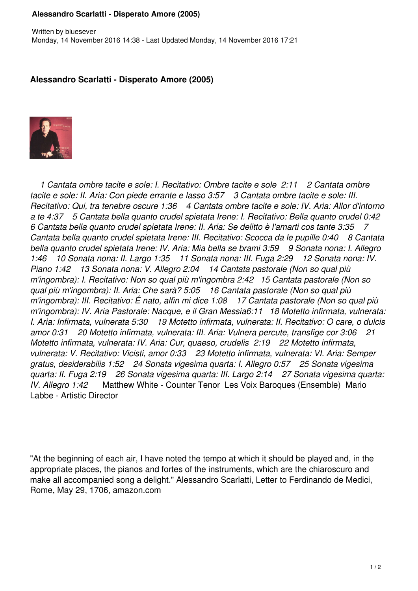## **Alessandro Scarlatti - Disperato Amore (2005)**

## **Alessandro Scarlatti - Disperato Amore (2005)**



 *1 Cantata ombre tacite e sole: I. Recitativo: Ombre tacite e sole 2:11 2 Cantata ombre tacite e sole: II. Aria: Con piede errante e lasso 3:57 3 Cantata ombre tacite e sole: III. Recitativo: Qui, tra tenebre oscure 1:36 4 Cantata ombre tacite e sole: IV. Aria: Allor d'intorno a te 4:37 5 Cantata bella quanto crudel spietata Irene: I. Recitativo: Bella quanto crudel 0:42 6 Cantata bella quanto crudel spietata Irene: II. Aria: Se delitto è l'amarti cos tante 3:35 7 Cantata bella quanto crudel spietata Irene: III. Recitativo: Scocca da le pupille 0:40 8 Cantata bella quanto crudel spietata Irene: IV. Aria: Mia bella se brami 3:59 9 Sonata nona: I. Allegro 1:46 10 Sonata nona: II. Largo 1:35 11 Sonata nona: III. Fuga 2:29 12 Sonata nona: IV. Piano 1:42 13 Sonata nona: V. Allegro 2:04 14 Cantata pastorale (Non so qual più m'ingombra): I. Recitativo: Non so qual più m'ingombra 2:42 15 Cantata pastorale (Non so qual più m'ingombra): II. Aria: Che sarà? 5:05 16 Cantata pastorale (Non so qual più m'ingombra): III. Recitativo: É nato, alfin mi dice 1:08 17 Cantata pastorale (Non so qual più m'ingombra): IV. Aria Pastorale: Nacque, e il Gran Messia6:11 18 Motetto infirmata, vulnerata: I. Aria: Infirmata, vulnerata 5:30 19 Motetto infirmata, vulnerata: II. Recitativo: O care, o dulcis amor 0:31 20 Motetto infirmata, vulnerata: III. Aria: Vulnera percute, transfige cor 3:06 21 Motetto infirmata, vulnerata: IV. Aria: Cur, quaeso, crudelis 2:19 22 Motetto infirmata, vulnerata: V. Recitativo: Vicisti, amor 0:33 23 Motetto infirmata, vulnerata: VI. Aria: Semper gratus, desiderabilis 1:52 24 Sonata vigesima quarta: I. Allegro 0:57 25 Sonata vigesima quarta: II. Fuga 2:19 26 Sonata vigesima quarta: III. Largo 2:14 27 Sonata vigesima quarta: IV. Allegro 1:42* Matthew White - Counter Tenor Les Voix Baroques (Ensemble) Mario Labbe - Artistic Director

"At the beginning of each air, I have noted the tempo at which it should be played and, in the appropriate places, the pianos and fortes of the instruments, which are the chiaroscuro and make all accompanied song a delight." Alessandro Scarlatti, Letter to Ferdinando de Medici, Rome, May 29, 1706, amazon.com